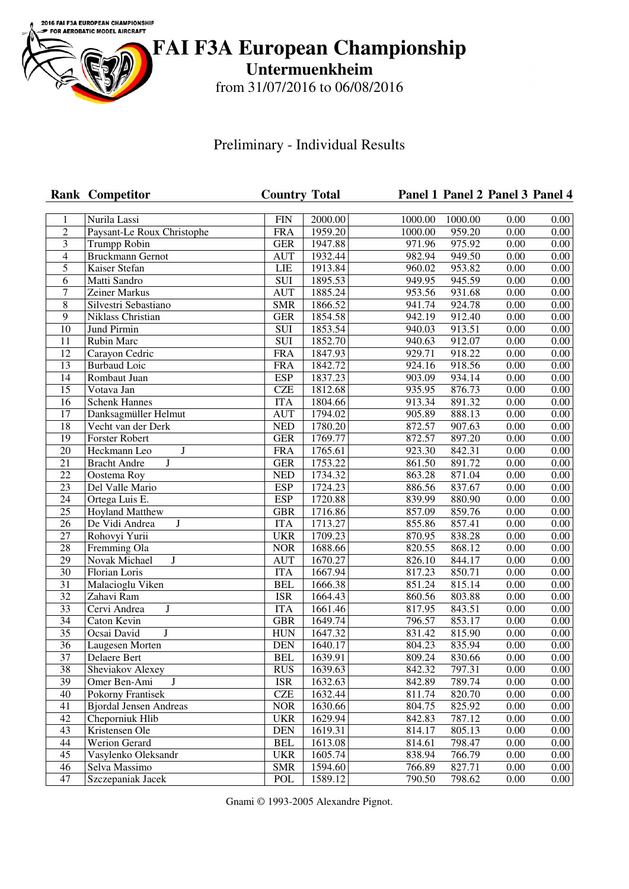

**FAI F3A European Championship**

**Untermuenkheim**

from 31/07/2016 to 06/08/2016

Preliminary - Individual Results

|                  | <b>Rank Competitor</b>         | <b>Country Total</b>      |         |                     |         | Panel 1 Panel 2 Panel 3 Panel 4 |                   |
|------------------|--------------------------------|---------------------------|---------|---------------------|---------|---------------------------------|-------------------|
| $\mathbf{1}$     | Nurila Lassi                   | $\overline{FIN}$          | 2000.00 | 1000.00             | 1000.00 | 0.00                            | 0.00              |
| $\overline{2}$   | Paysant-Le Roux Christophe     | <b>FRA</b>                | 1959.20 | 1000.00             | 959.20  | 0.00                            | 0.00              |
| 3                | <b>Trumpp Robin</b>            | <b>GER</b>                | 1947.88 | 971.96              | 975.92  | 0.00                            | 0.00              |
| $\overline{4}$   | <b>Bruckmann Gernot</b>        | <b>AUT</b>                | 1932.44 | 982.94              | 949.50  | 0.00                            | 0.00              |
| 5                | Kaiser Stefan                  | <b>LIE</b>                | 1913.84 | 960.02              | 953.82  | 0.00                            | 0.00              |
| 6                | Matti Sandro                   | SUI                       | 1895.53 | 949.95              | 945.59  | 0.00                            | 0.00              |
| $\boldsymbol{7}$ | Zeiner Markus                  | <b>AUT</b>                | 1885.24 | 953.56              | 931.68  | 0.00                            | 0.00              |
| $\,8\,$          | Silvestri Sebastiano           | <b>SMR</b>                | 1866.52 | $\overline{941.74}$ | 924.78  | 0.00                            | 0.00              |
| $\overline{9}$   | Niklass Christian              | <b>GER</b>                | 1854.58 | 942.19              | 912.40  | 0.00                            | 0.00              |
| $\overline{10}$  | <b>Jund Pirmin</b>             | $\overline{\mathrm{SUI}}$ | 1853.54 | 940.03              | 913.51  | 0.00                            | 0.00              |
| $\overline{11}$  | Rubin Marc                     | SUI                       | 1852.70 | 940.63              | 912.07  | $\overline{0.00}$               | 0.00              |
| 12               | Carayon Cedric                 | <b>FRA</b>                | 1847.93 | 929.71              | 918.22  | 0.00                            | 0.00              |
| 13               | <b>Burbaud Loic</b>            | <b>FRA</b>                | 1842.72 | 924.16              | 918.56  | 0.00                            | 0.00              |
| 14               | Rombaut Juan                   | <b>ESP</b>                | 1837.23 | 903.09              | 934.14  | 0.00                            | 0.00              |
| 15               | Votava Jan                     | <b>CZE</b>                | 1812.68 | 935.95              | 876.73  | 0.00                            | 0.00              |
| 16               | <b>Schenk Hannes</b>           | <b>ITA</b>                | 1804.66 | 913.34              | 891.32  | 0.00                            | 0.00              |
| 17               | Danksagmüller Helmut           | <b>AUT</b>                | 1794.02 | 905.89              | 888.13  | 0.00                            | 0.00              |
| 18               | Vecht van der Derk             | <b>NED</b>                | 1780.20 | 872.57              | 907.63  | 0.00                            | 0.00              |
| 19               | Forster Robert                 | <b>GER</b>                | 1769.77 | 872.57              | 897.20  | 0.00                            | 0.00              |
| $\overline{20}$  | $\bf J$<br>Heckmann Leo        | <b>FRA</b>                | 1765.61 | 923.30              | 842.31  | 0.00                            | 0.00              |
| $\overline{21}$  | J<br><b>Bracht Andre</b>       | $\overline{\text{GER}}$   | 1753.22 | 861.50              | 891.72  | 0.00                            | 0.00              |
| $\overline{22}$  | Oostema Roy                    | <b>NED</b>                | 1734.32 | 863.28              | 871.04  | 0.00                            | 0.00              |
| $\overline{23}$  | Del Valle Mario                | <b>ESP</b>                | 1724.23 | 886.56              | 837.67  | 0.00                            | 0.00              |
| $\overline{24}$  | Ortega Luis E.                 | <b>ESP</b>                | 1720.88 | 839.99              | 880.90  | 0.00                            | 0.00              |
| $\overline{25}$  | <b>Hoyland Matthew</b>         | <b>GBR</b>                | 1716.86 | 857.09              | 859.76  | 0.00                            | 0.00              |
| $\overline{26}$  | De Vidi Andrea<br>$\mathbf{J}$ | <b>ITA</b>                | 1713.27 | 855.86              | 857.41  | $\overline{0.00}$               | 0.00              |
| $\overline{27}$  | Rohovyi Yurii                  | <b>UKR</b>                | 1709.23 | 870.95              | 838.28  | 0.00                            | 0.00              |
| $\overline{28}$  | Fremming Ola                   | <b>NOR</b>                | 1688.66 | 820.55              | 868.12  | 0.00                            | 0.00              |
| 29               | Novak Michael<br>$\mathbf J$   | <b>AUT</b>                | 1670.27 | 826.10              | 844.17  | 0.00                            | 0.00              |
| 30               | Florian Loris                  | <b>ITA</b>                | 1667.94 | 817.23              | 850.71  | 0.00                            | 0.00              |
| 31               | Malacioglu Viken               | <b>BEL</b>                | 1666.38 | 851.24              | 815.14  | 0.00                            | 0.00              |
| 32               | Zahavi Ram                     | <b>ISR</b>                | 1664.43 | 860.56              | 803.88  | 0.00                            | 0.00              |
| 33               | Cervi Andrea<br>$\mathbf J$    | <b>ITA</b>                | 1661.46 | 817.95              | 843.51  | 0.00                            | 0.00              |
| $\overline{34}$  | Caton Kevin                    | <b>GBR</b>                | 1649.74 | 796.57              | 853.17  | 0.00                            | 0.00              |
| $\overline{35}$  | $\mathbf{J}$<br>Ocsai David    | <b>HUN</b>                | 1647.32 | 831.42              | 815.90  | 0.00                            | 0.00              |
| $\overline{36}$  | Laugesen Morten                | <b>DEN</b>                | 1640.17 | 804.23              | 835.94  | 0.00                            | 0.00              |
| 37               | Delaere Bert                   | <b>BEL</b>                | 1639.91 | 809.24              | 830.66  | 0.00                            | $\overline{0.00}$ |
| 38               | Sheviakov Alexey               | <b>RUS</b>                | 1639.63 | 842.32              | 797.31  | 0.00                            | 0.00              |
| 39               | $\bf J$<br>Omer Ben-Ami        | <b>ISR</b>                | 1632.63 | 842.89              | 789.74  | 0.00                            | 0.00              |
| 40               | Pokorny Frantisek              | CZE                       | 1632.44 | 811.74              | 820.70  | 0.00                            | 0.00              |
| 41               | <b>Bjordal Jensen Andreas</b>  | $\rm NOR$                 | 1630.66 | 804.75              | 825.92  | 0.00                            | 0.00              |
| 42               | Cheporniuk Hlib                | <b>UKR</b>                | 1629.94 | 842.83              | 787.12  | 0.00                            | 0.00              |
| 43               | Kristensen Ole                 | <b>DEN</b>                | 1619.31 | 814.17              | 805.13  | 0.00                            | 0.00              |
| 44               | Werion Gerard                  | <b>BEL</b>                | 1613.08 | 814.61              | 798.47  | 0.00                            | 0.00              |
| 45               | Vasylenko Oleksandr            | <b>UKR</b>                | 1605.74 | 838.94              | 766.79  | 0.00                            | 0.00              |
| 46               | Selva Massimo                  | <b>SMR</b>                | 1594.60 | 766.89              | 827.71  | 0.00                            | 0.00              |
| 47               | Szczepaniak Jacek              | POL                       | 1589.12 | 790.50              | 798.62  | 0.00                            | 0.00              |

Gnami © 1993-2005 Alexandre Pignot.